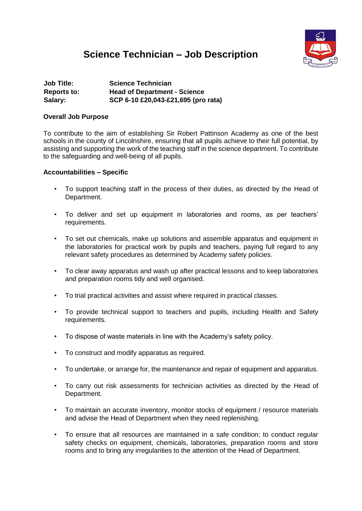# **Science Technician – Job Description**



| <b>Job Title:</b>  | <b>Science Technician</b>           |
|--------------------|-------------------------------------|
| <b>Reports to:</b> | <b>Head of Department - Science</b> |
| Salary:            | SCP 6-10 £20,043-£21,695 (pro rata) |

#### **Overall Job Purpose**

To contribute to the aim of establishing Sir Robert Pattinson Academy as one of the best schools in the county of Lincolnshire, ensuring that all pupils achieve to their full potential, by assisting and supporting the work of the teaching staff in the science department. To contribute to the safeguarding and well-being of all pupils.

#### **Accountabilities – Specific**

- To support teaching staff in the process of their duties, as directed by the Head of Department.
- To deliver and set up equipment in laboratories and rooms, as per teachers' requirements.
- To set out chemicals, make up solutions and assemble apparatus and equipment in the laboratories for practical work by pupils and teachers, paying full regard to any relevant safety procedures as determined by Academy safety policies.
- To clear away apparatus and wash up after practical lessons and to keep laboratories and preparation rooms tidy and well organised.
- To trial practical activities and assist where required in practical classes.
- To provide technical support to teachers and pupils, including Health and Safety requirements.
- To dispose of waste materials in line with the Academy's safety policy.
- To construct and modify apparatus as required.
- To undertake, or arrange for, the maintenance and repair of equipment and apparatus.
- To carry out risk assessments for technician activities as directed by the Head of Department.
- To maintain an accurate inventory, monitor stocks of equipment / resource materials and advise the Head of Department when they need replenishing.
- To ensure that all resources are maintained in a safe condition; to conduct regular safety checks on equipment, chemicals, laboratories, preparation rooms and store rooms and to bring any irregularities to the attention of the Head of Department.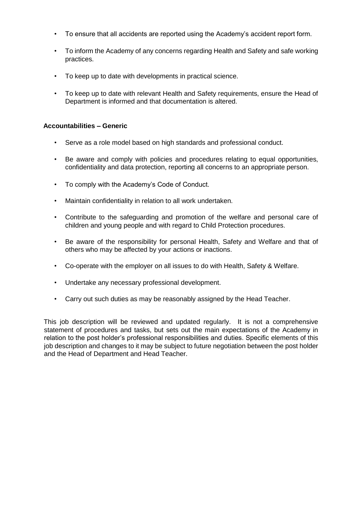- To ensure that all accidents are reported using the Academy's accident report form.
- To inform the Academy of any concerns regarding Health and Safety and safe working practices.
- To keep up to date with developments in practical science.
- To keep up to date with relevant Health and Safety requirements, ensure the Head of Department is informed and that documentation is altered.

#### **Accountabilities – Generic**

- Serve as a role model based on high standards and professional conduct.
- Be aware and comply with policies and procedures relating to equal opportunities, confidentiality and data protection, reporting all concerns to an appropriate person.
- To comply with the Academy's Code of Conduct.
- Maintain confidentiality in relation to all work undertaken.
- Contribute to the safeguarding and promotion of the welfare and personal care of children and young people and with regard to Child Protection procedures.
- Be aware of the responsibility for personal Health, Safety and Welfare and that of others who may be affected by your actions or inactions.
- Co-operate with the employer on all issues to do with Health, Safety & Welfare.
- Undertake any necessary professional development.
- Carry out such duties as may be reasonably assigned by the Head Teacher.

This job description will be reviewed and updated regularly. It is not a comprehensive statement of procedures and tasks, but sets out the main expectations of the Academy in relation to the post holder's professional responsibilities and duties. Specific elements of this job description and changes to it may be subject to future negotiation between the post holder and the Head of Department and Head Teacher.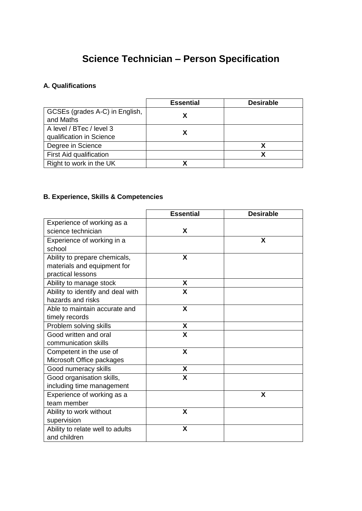# **Science Technician – Person Specification**

## **A. Qualifications**

|                                             | <b>Essential</b> | <b>Desirable</b> |
|---------------------------------------------|------------------|------------------|
| GCSEs (grades A-C) in English,<br>and Maths |                  |                  |
| A level / BTec / level 3                    |                  |                  |
| qualification in Science                    |                  |                  |
| Degree in Science                           |                  |                  |
| First Aid qualification                     |                  |                  |
| Right to work in the UK                     | χ                |                  |

### **B. Experience, Skills & Competencies**

|                                   | <b>Essential</b> | <b>Desirable</b> |
|-----------------------------------|------------------|------------------|
| Experience of working as a        |                  |                  |
| science technician                | X                |                  |
| Experience of working in a        |                  | X                |
| school                            |                  |                  |
| Ability to prepare chemicals,     | X                |                  |
| materials and equipment for       |                  |                  |
| practical lessons                 |                  |                  |
| Ability to manage stock           | X                |                  |
| Ability to identify and deal with | X                |                  |
| hazards and risks                 |                  |                  |
| Able to maintain accurate and     | X                |                  |
| timely records                    |                  |                  |
| Problem solving skills            | X                |                  |
| Good written and oral             | X                |                  |
| communication skills              |                  |                  |
| Competent in the use of           | X                |                  |
| Microsoft Office packages         |                  |                  |
| Good numeracy skills              | X                |                  |
| Good organisation skills,         | X                |                  |
| including time management         |                  |                  |
| Experience of working as a        |                  | X                |
| team member                       |                  |                  |
| Ability to work without           | X                |                  |
| supervision                       |                  |                  |
| Ability to relate well to adults  | X                |                  |
| and children                      |                  |                  |